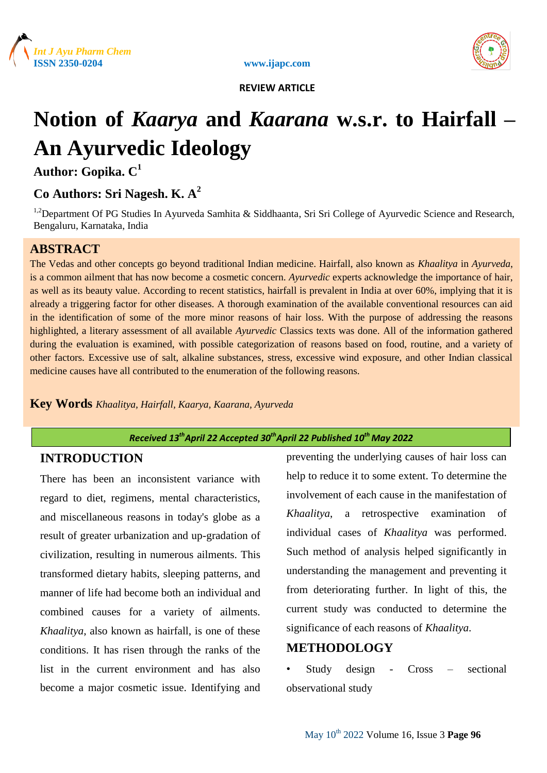





# **Notion of** *Kaarya* **and** *Kaarana* **w.s.r. to Hairfall – An Ayurvedic Ideology**

**Author: Gopika. C<sup>1</sup>**

# **Co Authors: Sri Nagesh. K. A 2**

<sup>1,2</sup>Department Of PG Studies In Ayurveda Samhita & Siddhaanta, Sri Sri College of Ayurvedic Science and Research, Bengaluru, Karnataka, India

## **ABSTRACT**

The Vedas and other concepts go beyond traditional Indian medicine. Hairfall, also known as *Khaalitya* in *Ayurveda*, is a common ailment that has now become a cosmetic concern. *Ayurvedic* experts acknowledge the importance of hair, as well as its beauty value. According to recent statistics, hairfall is prevalent in India at over 60%, implying that it is already a triggering factor for other diseases. A thorough examination of the available conventional resources can aid in the identification of some of the more minor reasons of hair loss. With the purpose of addressing the reasons highlighted, a literary assessment of all available *Ayurvedic* Classics texts was done. All of the information gathered during the evaluation is examined, with possible categorization of reasons based on food, routine, and a variety of other factors. Excessive use of salt, alkaline substances, stress, excessive wind exposure, and other Indian classical medicine causes have all contributed to the enumeration of the following reasons.

**Key Words** *Khaalitya, Hairfall, Kaarya, Kaarana, Ayurveda*

## *Received 13thApril 22 Accepted 30thApril 22 Published 10th May 2022*

## **INTRODUCTION**

There has been an inconsistent variance with regard to diet, regimens, mental characteristics, and miscellaneous reasons in today's globe as a result of greater urbanization and up-gradation of civilization, resulting in numerous ailments. This transformed dietary habits, sleeping patterns, and manner of life had become both an individual and combined causes for a variety of ailments. *Khaalitya*, also known as hairfall, is one of these conditions. It has risen through the ranks of the list in the current environment and has also become a major cosmetic issue. Identifying and preventing the underlying causes of hair loss can help to reduce it to some extent. To determine the involvement of each cause in the manifestation of *Khaalitya*, a retrospective examination of individual cases of *Khaalitya* was performed. Such method of analysis helped significantly in understanding the management and preventing it from deteriorating further. In light of this, the current study was conducted to determine the significance of each reasons of *Khaalitya*.

## **METHODOLOGY**

• Study design - Cross – sectional observational study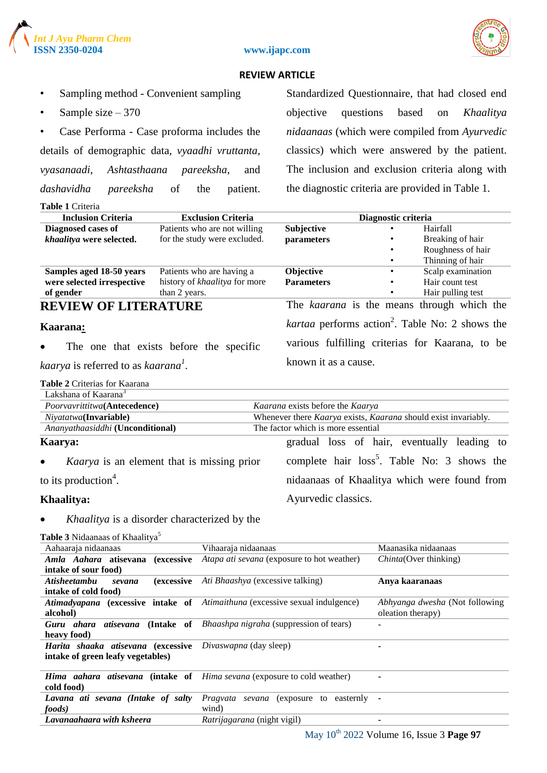



#### **ISSN 2350-0204 www.ijapc.com**

#### **REVIEW ARTICLE**

- Sampling method Convenient sampling
- Sample size  $-370$

• Case Performa - Case proforma includes the details of demographic data, *vyaadhi vruttanta, vyasanaadi, Ashtasthaana pareeksha,* and *dashavidha pareeksha* of the patient.

**Table 1** Criteria

Standardized Questionnaire, that had closed end objective questions based on *Khaalitya nidaanaas* (which were compiled from *Ayurvedic* classics) which were answered by the patient. The inclusion and exclusion criteria along with the diagnostic criteria are provided in Table 1.

| <b>Inclusion Criteria</b>   | <b>Exclusion Criteria</b>     |                   | Diagnostic criteria |                                                                    |
|-----------------------------|-------------------------------|-------------------|---------------------|--------------------------------------------------------------------|
| Diagnosed cases of          | Patients who are not willing  | Subjective        |                     | Hairfall                                                           |
| khaalitya were selected.    | for the study were excluded.  | parameters        |                     | Breaking of hair                                                   |
|                             |                               |                   | ٠                   | Roughness of hair                                                  |
|                             |                               |                   |                     | Thinning of hair                                                   |
| Samples aged 18-50 years    | Patients who are having a     | <b>Objective</b>  |                     | Scalp examination                                                  |
| were selected irrespective  | history of khaalitya for more | <b>Parameters</b> |                     | Hair count test                                                    |
| of gender                   | than 2 years.                 |                   |                     | Hair pulling test                                                  |
| <b>REVIEW OF LITERATURE</b> |                               |                   |                     | The kaarana is the means through which the                         |
| Kaarana <u>:</u>            |                               |                   |                     | <i>kartaa</i> performs action <sup>2</sup> . Table No: 2 shows the |
|                             |                               |                   |                     | verious fulfilling eritories for Keerene to be                     |

• The one that exists before the specific

*kaarya* is referred to as *kaarana<sup>1</sup>* .

various fulfilling criterias for Kaarana, to be known it as a cause.

|  | <b>Table 2</b> Criterias for Kaarana |  |  |  |
|--|--------------------------------------|--|--|--|
|--|--------------------------------------|--|--|--|

| Lakshana of Kaarana <sup>3</sup>                               |                                                                |
|----------------------------------------------------------------|----------------------------------------------------------------|
| Poorvavrittitwa(Antecedence)                                   | Kaarana exists before the Kaarya                               |
| Niyatatwa(Invariable)                                          | Whenever there Kaarya exists, Kaarana should exist invariably. |
| Ananyathaasiddhi (Unconditional)                               | The factor which is more essential                             |
| Kaarya:                                                        | gradual loss of hair, eventually leading to                    |
| <i>Kaarya</i> is an element that is missing prior<br>$\bullet$ | complete hair loss <sup>5</sup> . Table No: 3 shows the        |
| to its production <sup>4</sup> .                               | nidaanaas of Khaalitya which were found from                   |
| Khaalitya:                                                     | Ayurvedic classics.                                            |

• *Khaalitya* is a disorder characterized by the

Table 3 Nidaanaas of Khaalitva<sup>5</sup>

| Aahaaraja nidaanaas                          | Vihaaraja nidaanaas                                                                   | Maanasika nidaanaas                                 |
|----------------------------------------------|---------------------------------------------------------------------------------------|-----------------------------------------------------|
| Amla Aahara atisevana (excessive             | Atapa ati sevana (exposure to hot weather)                                            | Chinta(Over thinking)                               |
| intake of sour food)                         |                                                                                       |                                                     |
| <i><b>Atisheetambu</b></i><br>sevana         | (excessive Ati Bhaashya (excessive talking)                                           | Anya kaaranaas                                      |
| intake of cold food)                         |                                                                                       |                                                     |
| alcohol)                                     | Atimadyapana (excessive intake of Atimaithuna (excessive sexual indulgence)           | Abhyanga dwesha (Not following<br>oleation therapy) |
| heavy food)                                  | <b>Guru ahara atisevana (Intake of Bhaashpa nigraha (suppression of tears)</b>        |                                                     |
| Harita shaaka atisevana (excessive           | Divaswapna (day sleep)                                                                |                                                     |
| intake of green leafy vegetables)            |                                                                                       |                                                     |
| cold food)                                   | <b>Hima</b> aahara atisevana (intake of <i>Hima sevana</i> (exposure to cold weather) |                                                     |
|                                              |                                                                                       |                                                     |
| Lavana ati sevana (Intake of salty<br>foods) | <i>Pragvata sevana</i> (exposure to easternly<br>wind)                                | ٠                                                   |
| Lavanaahaara with ksheera                    | <i>Ratrijagarana</i> (night vigil)                                                    | ٠                                                   |
|                                              |                                                                                       |                                                     |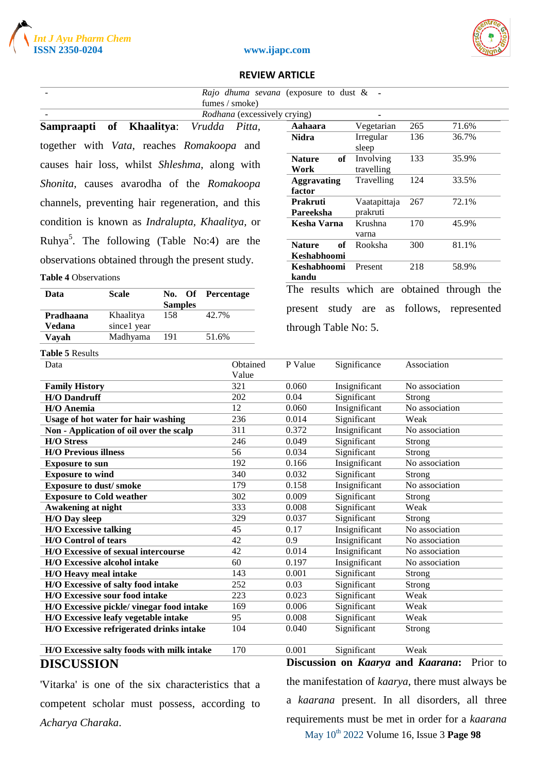





|                                                                                               |              |                          | Rajo dhuma sevana (exposure to dust & - |                              |    |                          |                |                                            |
|-----------------------------------------------------------------------------------------------|--------------|--------------------------|-----------------------------------------|------------------------------|----|--------------------------|----------------|--------------------------------------------|
| fumes / smoke)                                                                                |              |                          |                                         |                              |    |                          |                |                                            |
| Rodhana (excessively crying)<br>265<br>71.6%<br>Khaalitya:<br>Vegetarian<br>Vrudda<br>Aahaara |              |                          |                                         |                              |    |                          |                |                                            |
| Sampraapti                                                                                    | of           |                          | Pitta,                                  | <b>Nidra</b>                 |    | Irregular                | 136            | 36.7%                                      |
| together with Vata, reaches Romakoopa and                                                     |              |                          |                                         |                              |    | sleep                    |                |                                            |
| causes hair loss, whilst Shleshma, along with                                                 |              |                          |                                         | <b>Nature</b><br>Work        | of | Involving<br>travelling  | 133            | 35.9%                                      |
| Shonita, causes avarodha of the Romakoopa                                                     |              |                          |                                         | <b>Aggravating</b><br>factor |    | Travelling               | 124            | 33.5%                                      |
| channels, preventing hair regeneration, and this                                              |              |                          |                                         | <b>Prakruti</b><br>Pareeksha |    | Vaatapittaja<br>prakruti | 267            | 72.1%                                      |
| condition is known as <i>Indralupta</i> , <i>Khaalitya</i> , or                               |              |                          |                                         | <b>Kesha Varna</b>           |    | Krushna<br>varna         | 170            | 45.9%                                      |
| Ruhya <sup>3</sup> . The following (Table No:4) are the                                       |              |                          |                                         | <b>Nature</b>                | of | Rooksha                  | 300            | 81.1%                                      |
|                                                                                               |              |                          |                                         | Keshabhoomi                  |    |                          |                |                                            |
| observations obtained through the present study.<br><b>Table 4 Observations</b>               |              |                          |                                         | Keshabhoomi<br>kandu         |    | Present                  | 218            | 58.9%                                      |
|                                                                                               |              |                          |                                         |                              |    |                          |                | The results which are obtained through the |
| Data                                                                                          | <b>Scale</b> | No. Of<br><b>Samples</b> | Percentage                              | present study                |    | are<br>as                | follows,       | represented                                |
| Pradhaana                                                                                     | Khaalitya    | 158                      | 42.7%                                   |                              |    |                          |                |                                            |
| Vedana                                                                                        | since1 year  |                          |                                         | through Table No: 5.         |    |                          |                |                                            |
| Vayah                                                                                         | Madhyama     | 191                      | 51.6%                                   |                              |    |                          |                |                                            |
| <b>Table 5 Results</b>                                                                        |              |                          |                                         |                              |    |                          |                |                                            |
| Data                                                                                          |              |                          | Obtained                                | P Value                      |    | Significance             | Association    |                                            |
|                                                                                               |              |                          | Value                                   |                              |    |                          |                |                                            |
| <b>Family History</b>                                                                         |              |                          | 321                                     | 0.060                        |    | Insignificant            | No association |                                            |
| <b>H/O Dandruff</b>                                                                           |              |                          | 202                                     | 0.04                         |    | Significant              | Strong         |                                            |
| H/O Anemia                                                                                    |              |                          | 12                                      | 0.060                        |    | Insignificant            | No association |                                            |
| Usage of hot water for hair washing                                                           |              |                          | 236                                     | 0.014                        |    | Significant<br>Weak      |                |                                            |
| Non - Application of oil over the scalp                                                       |              |                          | 311                                     | 0.372                        |    | Insignificant            | No association |                                            |
| <b>H/O Stress</b>                                                                             |              |                          | 246                                     | 0.049                        |    | Significant              | Strong         |                                            |
| <b>H/O Previous illness</b>                                                                   |              |                          | 56                                      | 0.034                        |    | Significant              | Strong         |                                            |
| <b>Exposure to sun</b>                                                                        |              |                          | 192                                     | 0.166                        |    | Insignificant            | No association |                                            |
| <b>Exposure to wind</b>                                                                       |              |                          | 340                                     | 0.032                        |    | Significant              | Strong         |                                            |
| <b>Exposure to dust/smoke</b>                                                                 |              |                          | 179                                     | 0.158                        |    | Insignificant            | No association |                                            |
| <b>Exposure to Cold weather</b>                                                               |              |                          | 302                                     | 0.009                        |    | Significant              | Strong         |                                            |
| Awakening at night                                                                            |              |                          | 333                                     | 0.008                        |    | Significant              | Weak           |                                            |
| H/O Day sleep                                                                                 |              |                          | 329                                     | 0.037                        |    | Significant              | Strong         |                                            |
| <b>H/O Excessive talking</b>                                                                  |              |                          | 45                                      | 0.17                         |    | Insignificant            | No association |                                            |
| <b>H/O</b> Control of tears                                                                   |              |                          | 42                                      | 0.9                          |    | Insignificant            | No association |                                            |
| H/O Excessive of sexual intercourse                                                           |              |                          | 42                                      | 0.014                        |    | Insignificant            | No association |                                            |
| H/O Excessive alcohol intake                                                                  |              |                          | 60                                      | 0.197                        |    | Insignificant            | No association |                                            |
| H/O Heavy meal intake                                                                         |              |                          | 143                                     | 0.001                        |    | Significant              | Strong         |                                            |
| H/O Excessive of salty food intake                                                            |              |                          | 252                                     | 0.03                         |    | Significant              | Strong         |                                            |
| H/O Excessive sour food intake                                                                |              |                          | 223                                     | 0.023                        |    | Significant              | Weak           |                                            |
| H/O Excessive pickle/vinegar food intake                                                      |              |                          | 169                                     | 0.006                        |    | Significant              | Weak           |                                            |
| H/O Excessive leafy vegetable intake                                                          |              |                          | 95                                      | 0.008                        |    | Significant              | Weak           |                                            |
| H/O Excessive refrigerated drinks intake                                                      |              |                          | 104                                     | 0.040                        |    | Significant              | <b>Strong</b>  |                                            |

**H/O Excessive salty foods with milk intake** 170 0.001 Significant Weak **DISCUSSION**

'Vitarka' is one of the six characteristics that a competent scholar must possess, according to *Acharya Charaka*.

May 10th 2022 Volume 16, Issue 3 **Page 98 Discussion on** *Kaarya* **and** *Kaarana***:** Prior to the manifestation of *kaarya*, there must always be a *kaarana* present. In all disorders, all three requirements must be met in order for a *kaarana*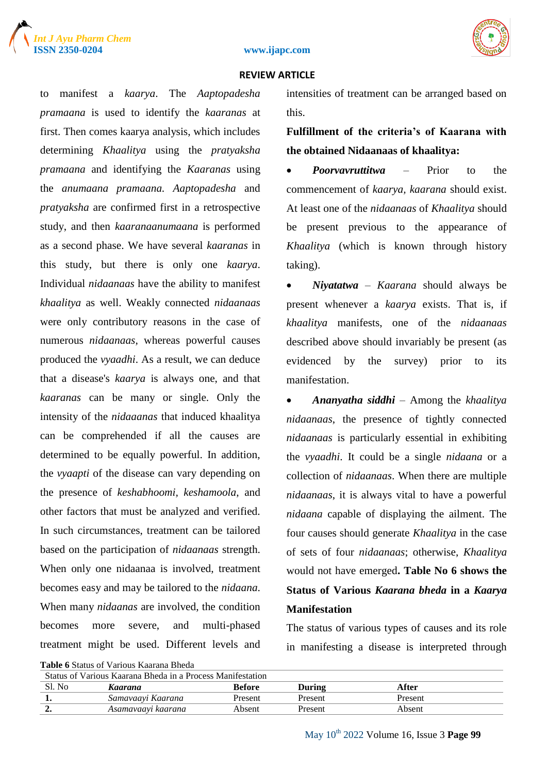





to manifest a *kaarya*. The *Aaptopadesha pramaana* is used to identify the *kaaranas* at first. Then comes kaarya analysis, which includes determining *Khaalitya* using the *pratyaksha pramaana* and identifying the *Kaaranas* using the *anumaana pramaana. Aaptopadesha* and *pratyaksha* are confirmed first in a retrospective study, and then *kaaranaanumaana* is performed as a second phase. We have several *kaaranas* in this study, but there is only one *kaarya*. Individual *nidaanaas* have the ability to manifest *khaalitya* as well. Weakly connected *nidaanaas* were only contributory reasons in the case of numerous *nidaanaas*, whereas powerful causes produced the *vyaadhi*. As a result, we can deduce that a disease's *kaarya* is always one, and that *kaaranas* can be many or single. Only the intensity of the *nidaaanas* that induced khaalitya can be comprehended if all the causes are determined to be equally powerful. In addition, the *vyaapti* of the disease can vary depending on the presence of *keshabhoomi, keshamoola*, and other factors that must be analyzed and verified. In such circumstances, treatment can be tailored based on the participation of *nidaanaas* strength. When only one nidaanaa is involved, treatment becomes easy and may be tailored to the *nidaana*. When many *nidaanas* are involved, the condition becomes more severe, and multi-phased treatment might be used. Different levels and

| <b>Table 6</b> Status of Various Kaarana Bheda |  |  |  |  |  |  |
|------------------------------------------------|--|--|--|--|--|--|
|------------------------------------------------|--|--|--|--|--|--|

intensities of treatment can be arranged based on this.

## **Fulfillment of the criteria's of Kaarana with the obtained Nidaanaas of khaalitya:**

 *Poorvavruttitwa –* Prior to the commencement of *kaarya, kaarana* should exist. At least one of the *nidaanaas* of *Khaalitya* should be present previous to the appearance of *Khaalitya* (which is known through history taking).

 *Niyatatwa* – *Kaarana* should always be present whenever a *kaarya* exists. That is, if *khaalitya* manifests, one of the *nidaanaas* described above should invariably be present (as evidenced by the survey) prior to its manifestation.

 *Ananyatha siddhi* – Among the *khaalitya nidaanaas*, the presence of tightly connected *nidaanaas* is particularly essential in exhibiting the *vyaadhi*. It could be a single *nidaana* or a collection of *nidaanaas*. When there are multiple *nidaanaas*, it is always vital to have a powerful *nidaana* capable of displaying the ailment. The four causes should generate *Khaalitya* in the case of sets of four *nidaanaas*; otherwise, *Khaalitya* would not have emerged**. Table No 6 shows the Status of Various** *Kaarana bheda* **in a** *Kaarya* **Manifestation**

The status of various types of causes and its role in manifesting a disease is interpreted through

| Status of Various Kaarana Bheda in a Process Manifestation |                    |               |         |         |  |  |
|------------------------------------------------------------|--------------------|---------------|---------|---------|--|--|
| Sl. No                                                     | Kaarana            | <b>Before</b> | During  | After   |  |  |
|                                                            | Samavaayi Kaarana  | Present       | Present | Present |  |  |
|                                                            | Asamavaavi kaarana | Absent        | Present | Absent  |  |  |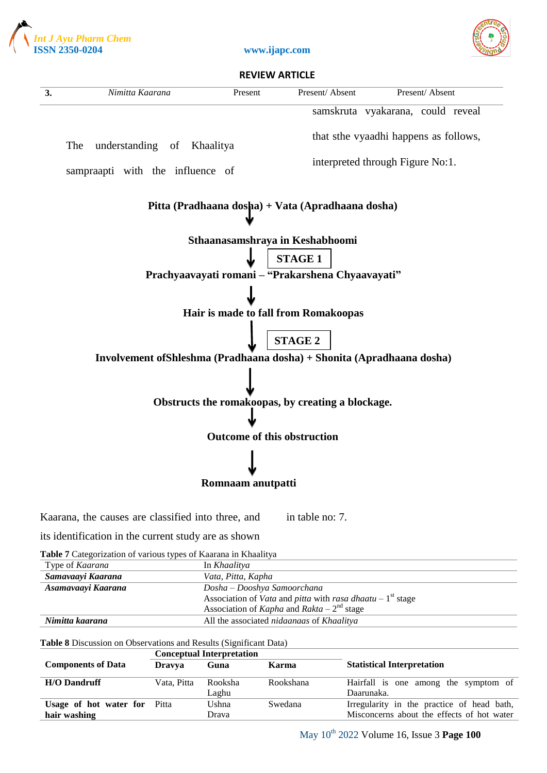







its identification in the current study are as shown

**Table 7** Categorization of various types of Kaarana in Khaalitya

| Type of <i>Kaarana</i> | In <i>Khaalitva</i>                                                               |
|------------------------|-----------------------------------------------------------------------------------|
| Samavaayi Kaarana      | Vata, Pitta, Kapha                                                                |
| Asamavaayi Kaarana     | Dosha – Dooshya Samoorchana                                                       |
|                        | Association of <i>Vata</i> and <i>pitta</i> with <i>rasa dhaatu</i> – $1st$ stage |
|                        | Association of Kapha and Rakta – $2nd$ stage                                      |
| Nimitta kaarana        | All the associated nidaanaas of Khaalitya                                         |

**Table 8** Discussion on Observations and Results (Significant Data)

|                                     | <b>Conceptual Interpretation</b> |         |           |                                            |
|-------------------------------------|----------------------------------|---------|-----------|--------------------------------------------|
| <b>Components of Data</b>           | <b>Dravya</b>                    | Guna    | Karma     | <b>Statistical Interpretation</b>          |
| <b>H/O Dandruff</b>                 | Vata, Pitta                      | Rooksha | Rookshana | Hairfall is one among the symptom of       |
|                                     |                                  | Laghu   |           | Daarunaka.                                 |
| <b>Usage of hot water for Pitta</b> |                                  | Ushna   | Swedana   | Irregularity in the practice of head bath, |
| hair washing                        |                                  | Drava   |           | Misconcerns about the effects of hot water |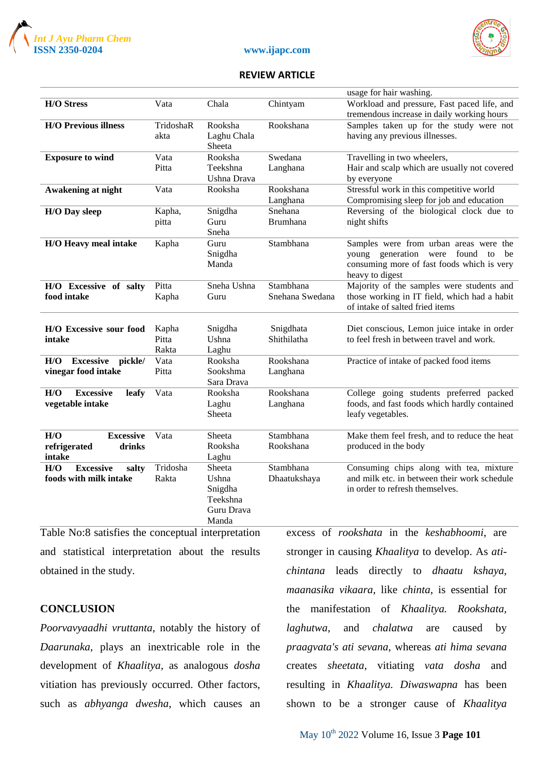





|                                    |           |             |                 | usage for hair washing.                      |
|------------------------------------|-----------|-------------|-----------------|----------------------------------------------|
| <b>H/O Stress</b>                  | Vata      | Chala       | Chintyam        | Workload and pressure, Fast paced life, and  |
|                                    |           |             |                 | tremendous increase in daily working hours   |
| <b>H/O Previous illness</b>        | TridoshaR | Rooksha     | Rookshana       | Samples taken up for the study were not      |
|                                    | akta      | Laghu Chala |                 | having any previous illnesses.               |
|                                    |           | Sheeta      |                 |                                              |
| <b>Exposure to wind</b>            | Vata      | Rooksha     | Swedana         | Travelling in two wheelers,                  |
|                                    | Pitta     | Teekshna    | Langhana        | Hair and scalp which are usually not covered |
|                                    |           | Ushna Drava |                 | by everyone                                  |
| Awakening at night                 | Vata      | Rooksha     | Rookshana       | Stressful work in this competitive world     |
|                                    |           |             | Langhana        | Compromising sleep for job and education     |
| <b>H/O Day sleep</b>               | Kapha,    | Snigdha     | Snehana         | Reversing of the biological clock due to     |
|                                    | pitta     | Guru        | <b>Brumhana</b> | night shifts                                 |
|                                    |           | Sneha       |                 |                                              |
| H/O Heavy meal intake              | Kapha     | Guru        | Stambhana       | Samples were from urban areas were the       |
|                                    |           | Snigdha     |                 | young generation were<br>found to<br>be      |
|                                    |           | Manda       |                 | consuming more of fast foods which is very   |
|                                    |           |             |                 | heavy to digest                              |
| H/O Excessive of salty             | Pitta     | Sneha Ushna | Stambhana       | Majority of the samples were students and    |
| food intake                        | Kapha     | Guru        | Snehana Swedana | those working in IT field, which had a habit |
|                                    |           |             |                 | of intake of salted fried items              |
|                                    |           |             |                 |                                              |
| H/O Excessive sour food            | Kapha     | Snigdha     | Snigdhata       | Diet conscious, Lemon juice intake in order  |
| intake                             | Pitta     | Ushna       | Shithilatha     | to feel fresh in between travel and work.    |
|                                    | Rakta     | Laghu       |                 |                                              |
| H/O<br><b>Excessive</b><br>pickle/ | Vata      | Rooksha     | Rookshana       | Practice of intake of packed food items      |
| vinegar food intake                | Pitta     | Sookshma    | Langhana        |                                              |
|                                    |           | Sara Drava  |                 |                                              |
| <b>Excessive</b><br>H/O<br>leafy   | Vata      | Rooksha     | Rookshana       | College going students preferred packed      |
| vegetable intake                   |           | Laghu       | Langhana        | foods, and fast foods which hardly contained |
|                                    |           | Sheeta      |                 | leafy vegetables.                            |
|                                    |           |             |                 |                                              |
| <b>Excessive</b><br>H/O            | Vata      | Sheeta      | Stambhana       | Make them feel fresh, and to reduce the heat |
| refrigerated<br>drinks             |           | Rooksha     | Rookshana       | produced in the body                         |
| intake                             |           | Laghu       |                 |                                              |
| <b>Excessive</b><br>H/O<br>salty   | Tridosha  | Sheeta      | Stambhana       | Consuming chips along with tea, mixture      |
| foods with milk intake             | Rakta     | Ushna       | Dhaatukshaya    | and milk etc. in between their work schedule |
|                                    |           | Snigdha     |                 | in order to refresh themselves.              |
|                                    |           | Teekshna    |                 |                                              |
|                                    |           | Guru Drava  |                 |                                              |
|                                    |           | Manda       |                 |                                              |

Table No:8 satisfies the conceptual interpretation and statistical interpretation about the results obtained in the study.

### **CONCLUSION**

*Poorvavyaadhi vruttanta*, notably the history of *Daarunaka*, plays an inextricable role in the development of *Khaalitya,* as analogous *dosha* vitiation has previously occurred. Other factors, such as *abhyanga dwesha*, which causes an excess of *rookshata* in the *keshabhoomi*, are stronger in causing *Khaalitya* to develop. As *atichintana* leads directly to *dhaatu kshaya, maanasika vikaara*, like *chinta*, is essential for the manifestation of *Khaalitya. Rookshata, laghutwa*, and *chalatwa* are caused by *praagvata's ati sevana*, whereas *ati hima sevana* creates *sheetata*, vitiating *vata dosha* and resulting in *Khaalitya. Diwaswapna* has been shown to be a stronger cause of *Khaalitya*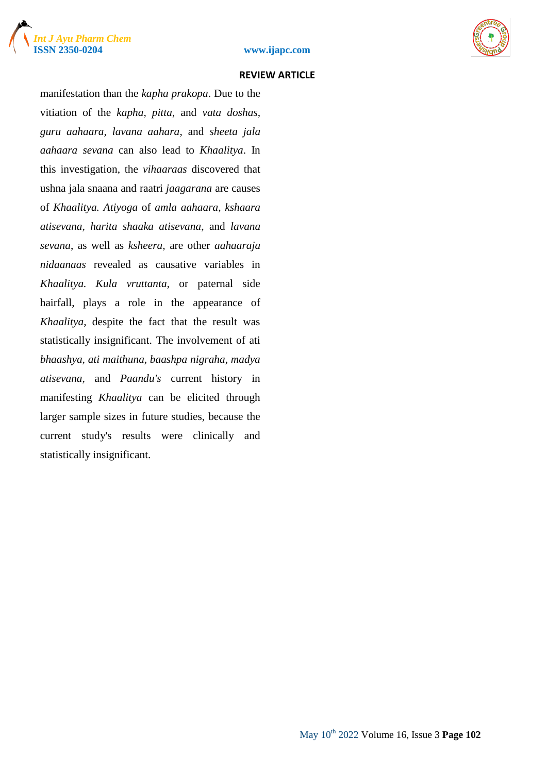





manifestation than the *kapha prakopa*. Due to the vitiation of the *kapha, pitta*, and *vata doshas, guru aahaara, lavana aahara*, and *sheeta jala aahaara sevana* can also lead to *Khaalitya*. In this investigation, the *vihaaraas* discovered that ushna jala snaana and raatri *jaagarana* are causes of *Khaalitya. Atiyoga* of *amla aahaara, kshaara atisevana, harita shaaka atisevana*, and *lavana sevana*, as well as *ksheera*, are other *aahaaraja nidaanaas* revealed as causative variables in *Khaalitya. Kula vruttanta*, or paternal side hairfall, plays a role in the appearance of *Khaalitya*, despite the fact that the result was statistically insignificant. The involvement of ati *bhaashya, ati maithuna, baashpa nigraha, madya atisevana*, and *Paandu's* current history in manifesting *Khaalitya* can be elicited through larger sample sizes in future studies, because the current study's results were clinically and statistically insignificant.